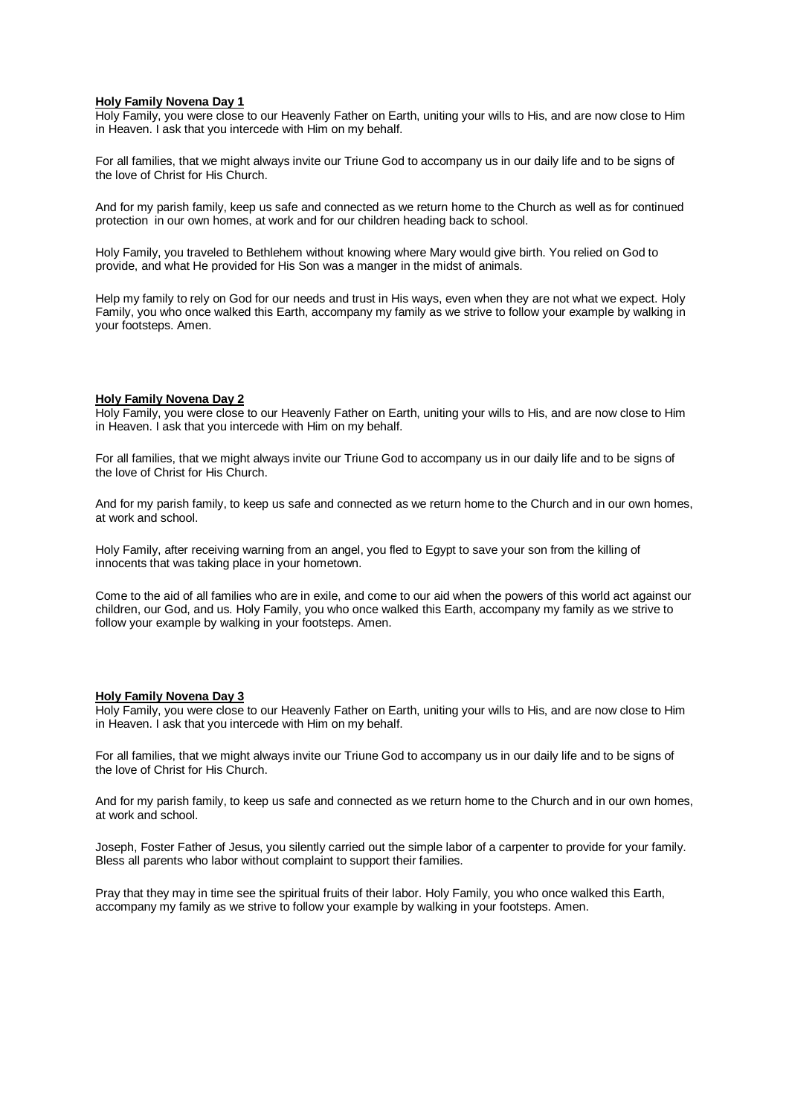### **Holy Family Novena Day 1**

Holy Family, you were close to our Heavenly Father on Earth, uniting your wills to His, and are now close to Him in Heaven. I ask that you intercede with Him on my behalf.

For all families, that we might always invite our Triune God to accompany us in our daily life and to be signs of the love of Christ for His Church.

And for my parish family, keep us safe and connected as we return home to the Church as well as for continued protection in our own homes, at work and for our children heading back to school.

Holy Family, you traveled to Bethlehem without knowing where Mary would give birth. You relied on God to provide, and what He provided for His Son was a manger in the midst of animals.

Help my family to rely on God for our needs and trust in His ways, even when they are not what we expect. Holy Family, you who once walked this Earth, accompany my family as we strive to follow your example by walking in your footsteps. Amen.

# **Holy Family Novena Day 2**

Holy Family, you were close to our Heavenly Father on Earth, uniting your wills to His, and are now close to Him in Heaven. I ask that you intercede with Him on my behalf.

For all families, that we might always invite our Triune God to accompany us in our daily life and to be signs of the love of Christ for His Church.

And for my parish family, to keep us safe and connected as we return home to the Church and in our own homes, at work and school.

Holy Family, after receiving warning from an angel, you fled to Egypt to save your son from the killing of innocents that was taking place in your hometown.

Come to the aid of all families who are in exile, and come to our aid when the powers of this world act against our children, our God, and us. Holy Family, you who once walked this Earth, accompany my family as we strive to follow your example by walking in your footsteps. Amen.

# **Holy Family Novena Day 3**

Holy Family, you were close to our Heavenly Father on Earth, uniting your wills to His, and are now close to Him in Heaven. I ask that you intercede with Him on my behalf.

For all families, that we might always invite our Triune God to accompany us in our daily life and to be signs of the love of Christ for His Church.

And for my parish family, to keep us safe and connected as we return home to the Church and in our own homes, at work and school.

Joseph, Foster Father of Jesus, you silently carried out the simple labor of a carpenter to provide for your family. Bless all parents who labor without complaint to support their families.

Pray that they may in time see the spiritual fruits of their labor. Holy Family, you who once walked this Earth, accompany my family as we strive to follow your example by walking in your footsteps. Amen.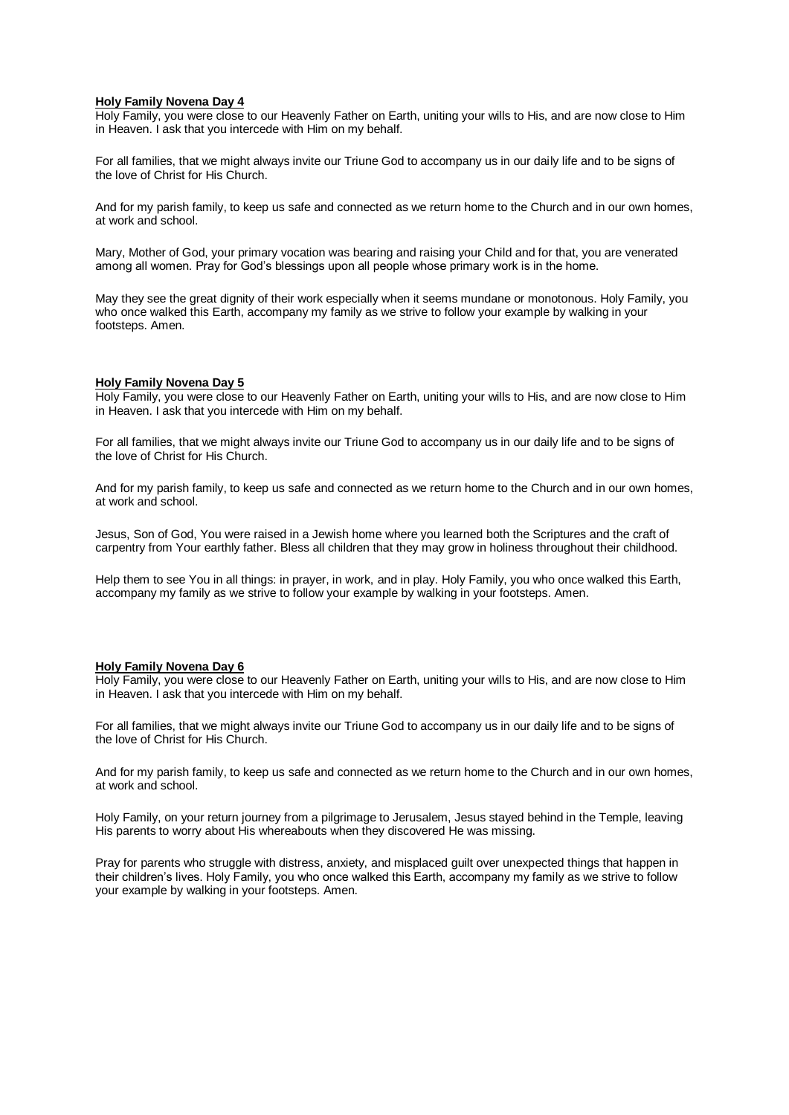# **Holy Family Novena Day 4**

Holy Family, you were close to our Heavenly Father on Earth, uniting your wills to His, and are now close to Him in Heaven. I ask that you intercede with Him on my behalf.

For all families, that we might always invite our Triune God to accompany us in our daily life and to be signs of the love of Christ for His Church.

And for my parish family, to keep us safe and connected as we return home to the Church and in our own homes, at work and school.

Mary, Mother of God, your primary vocation was bearing and raising your Child and for that, you are venerated among all women. Pray for God's blessings upon all people whose primary work is in the home.

May they see the great dignity of their work especially when it seems mundane or monotonous. Holy Family, you who once walked this Earth, accompany my family as we strive to follow your example by walking in your footsteps. Amen.

## **Holy Family Novena Day 5**

Holy Family, you were close to our Heavenly Father on Earth, uniting your wills to His, and are now close to Him in Heaven. I ask that you intercede with Him on my behalf.

For all families, that we might always invite our Triune God to accompany us in our daily life and to be signs of the love of Christ for His Church.

And for my parish family, to keep us safe and connected as we return home to the Church and in our own homes, at work and school.

Jesus, Son of God, You were raised in a Jewish home where you learned both the Scriptures and the craft of carpentry from Your earthly father. Bless all children that they may grow in holiness throughout their childhood.

Help them to see You in all things: in prayer, in work, and in play. Holy Family, you who once walked this Earth, accompany my family as we strive to follow your example by walking in your footsteps. Amen.

## **Holy Family Novena Day 6**

Holy Family, you were close to our Heavenly Father on Earth, uniting your wills to His, and are now close to Him in Heaven. I ask that you intercede with Him on my behalf.

For all families, that we might always invite our Triune God to accompany us in our daily life and to be signs of the love of Christ for His Church.

And for my parish family, to keep us safe and connected as we return home to the Church and in our own homes, at work and school.

Holy Family, on your return journey from a pilgrimage to Jerusalem, Jesus stayed behind in the Temple, leaving His parents to worry about His whereabouts when they discovered He was missing.

Pray for parents who struggle with distress, anxiety, and misplaced guilt over unexpected things that happen in their children's lives. Holy Family, you who once walked this Earth, accompany my family as we strive to follow your example by walking in your footsteps. Amen.